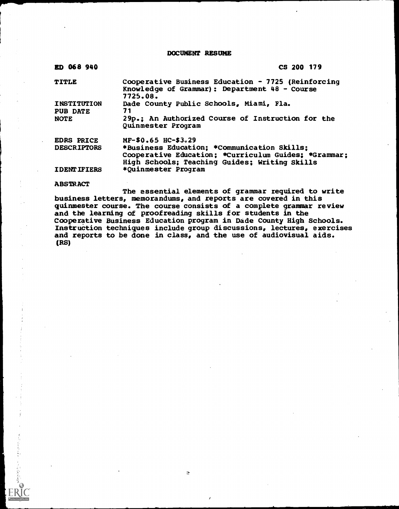DOCUMENT RESUME

| ED 068 940          | CS 200 179                                                                                                                                           |
|---------------------|------------------------------------------------------------------------------------------------------------------------------------------------------|
| TITLE               | Cooperative Business Education - 7725 (Reinforcing<br>Knowledge of Grammar): Department 48 - Course<br>7725.08.                                      |
| INSTITUTION         | Dade County Public Schools, Miami, Fla.                                                                                                              |
| <b>PUB DATE</b>     | 71                                                                                                                                                   |
| <b>NOTE</b>         | 29p.; An Authorized Course of Instruction for the<br>Quinmester Program                                                                              |
| <b>EDRS PRICE</b>   | MF-\$0.65 HC-\$3.29                                                                                                                                  |
| <b>DESCRIPTORS</b>  | *Business Education; *Communication Skills;<br>Cooperative Education; *Curriculum Guides; *Grammar;<br>High Schools; Teaching Guides; Writing Skills |
| <b>IDENT IFIERS</b> | *Quinmester Program                                                                                                                                  |

#### **ABSTRACT**

 $\label{eq:2} \begin{split} \mathcal{L}_{\mathcal{A}}^{\mathcal{A}}=\mathcal{L}_{\mathcal{A}}^{\mathcal{A}}\otimes\mathcal{L}_{\mathcal{A}}^{\mathcal{A}}\otimes\mathcal{L}_{\mathcal{A}}^{\mathcal{A}}\otimes\mathcal{L}_{\mathcal{A}}^{\mathcal{A}}\otimes\mathcal{L}_{\mathcal{A}}^{\mathcal{A}}\otimes\mathcal{L}_{\mathcal{A}}^{\mathcal{A}}\otimes\mathcal{L}_{\mathcal{A}}^{\mathcal{A}}\otimes\mathcal{L}_{\mathcal{A}}^{\mathcal{A}}\otimes\mathcal{L}_{\mathcal{A}}^$ 

The essential elements of grammar required to write business letters, memorandums, and reports are covered in this quinmester course. The course consists of a complete grammar review and the learning of proofreading skills for students in the Cooperative Business Education program in Dade County High Schools. Instruction techniques include group discussions, lectures, exercises and reports to be done in class, and the use of audiovisual aids. (RS)

 $\bar{\mathcal{Q}}$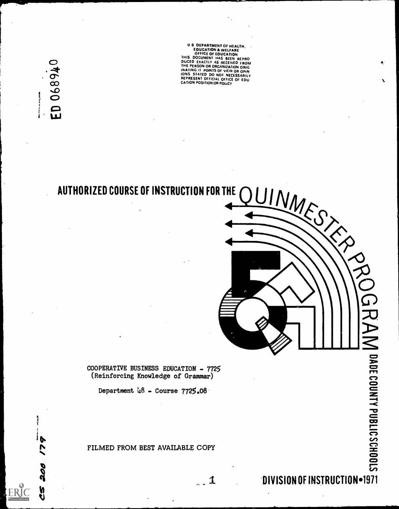ED 068940 **Washington** 

200

**VS** 

US DEPARTMENT OF HEALTH.<br>
EDUCATION & WELFARE<br>
OFFICE OF EDUCATION<br>
THIS DOCUMENT HAS BEEN REPRO<br>
DUCED EXACTLY AS RECEIVED FROM<br>
DUCED EXACTLY AS RECEIVED FROM<br>
THE PERSON OR ORGANIZATION ORIGINAL<br>
INATING IT POINTS OF VI

## AUTHORIZED COURSE OF INSTRUCTION FOR THE



COOPERATIVE BUSINESS EDUCATION - 7725 (Reinforcing Knowledge of Grammar)

Department  $48 - \text{Course } 7725.08$ 

FILMED FROM BEST AVAILABLE COPY

 $\ldots$  1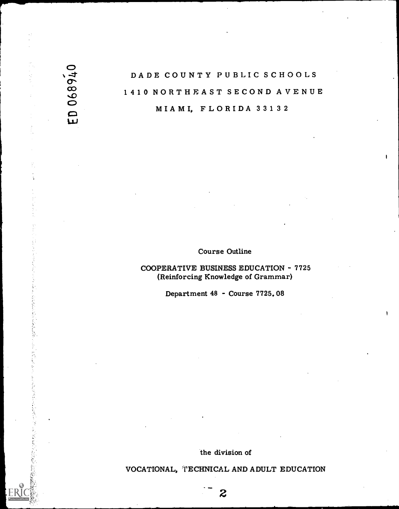## $\circ$ DADE COUNTY PUBLIC SCHOOLS 1410 NORTHEAST SECOND AVENUE MIAMI, FLORIDA 33132

 $\bullet$  and  $\bullet$ 

 $\overrightarrow{w}$ 

#### Course Outline

COOPERATIVE BUSINESS EDUCATION - 7725 (Reinforcing Knowledge of Grammar)

Department 48 - Course 7725.08

the division of

VOCATIONAL, TECHNICAL AND ADULT EDUCATION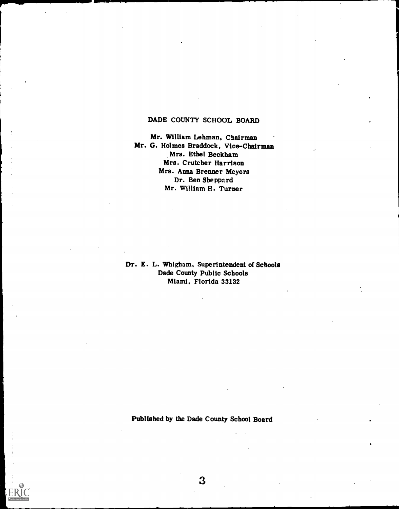### DADE COUNTY SCHOOL BOARD

Mr. William Lehman, Chairman Mr. G. Holmes Braddock. Vice-Chairman Mrs. Ethel Beckham Mrs. Crutcher Harrison Mrs. Anna Brenner Meyers Dr. Ben Sheppard Mr. William H. Turner

Dr. E. L. Whigham, Superintendent of Schools Dade County Public Schools Miami, Florida 33132

Published by the Dade County School Board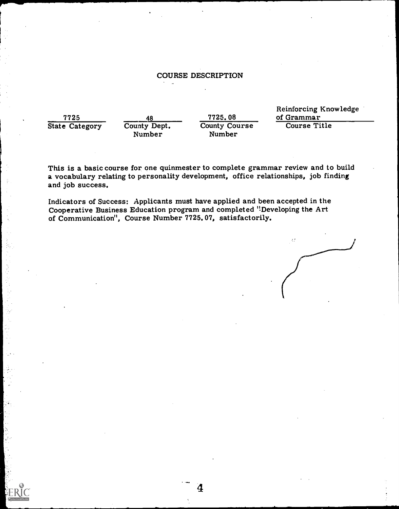#### COURSE DESCRIPTION

State Category

÷.

Number

The True of Grammar<br>
The Category<br>
County Dept. County Course Course Course Title County Course Number

Reinforcing Knowledge

This is a basic course for one quinmester to complete grammar review and to build a vocabulary relating to personality development, office relationships, job finding and job success.

 $\boldsymbol{4}$ 

Indicators of Success: Applicants must have applied and been accepted in the Cooperative Business Education program and completed "Developing the Art of Communication'', Course Number 7725.07, satisfactorily.

 $\mathcal{L}^{\star}_{\mathcal{L}}$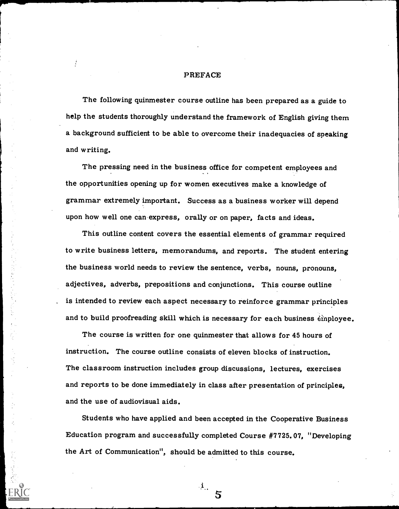#### PREFACE

The following quinmester course outline has been prepared as a guide to help the students thoroughly understand the framework of English giving them a background sufficient to be able to overcome their inadequacies of speaking and writing.

The pressing need in the business office for competent employees and the opportunities opening up for women executives make a knowledge of grammar extremely important. Success as a business worker will depend upon how well one can express, orally or on paper, facts and ideas.

This outline content covers the essential elements of grammar required to write business letters, memorandums, and reports. The student entering the business world needs to review the sentence, verbs, nouns, pronouns, adjectives, adverbs, prepositions and conjunctions. This course outline is intended to review each aspect necessary to reinforce grammar principles and to build proofreading skill which is necessary for each business  $\hat{\text{e}}$ inployee.

The course is written for one quinmester that allows for 45 hours of instruction. The course outline consists of eleven blocks of instruction. The classroom instruction includes group discussions, lectures, exercises and reports to be done immediately in class after presentation of principles, and the use of audiovisual aids.

Students who have applied and been accepted in the Cooperative Business Education program and successfully completed Course #7725.07, "Developing the Art of Communication", should be admitted to this course.

 $\cdot {\bf i}$  .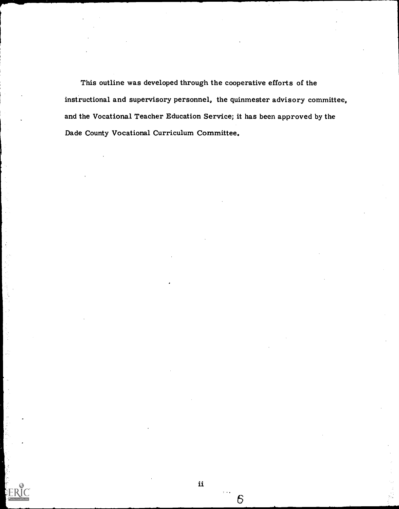This outline was developed through the cooperative efforts of the instructional and supervisory personnel, the quinmester advisory committee, and the Vocational Teacher Education Service; it has been approved by the Dade County Vocational Curriculum Committee.

6

i.<br>Pr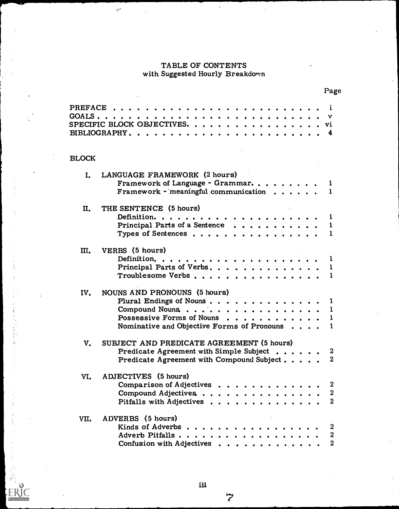### TABLE OF CONTENTS with Suggested Hourly Breakdomn

 $\gamma^{12}$ 

计指数字 医葡萄糖酸

ķ

 $\frac{\epsilon}{2}$ 

**ERI** 

 $\star$ 

|              |                                                                                                                                                          | rage                                                   |
|--------------|----------------------------------------------------------------------------------------------------------------------------------------------------------|--------------------------------------------------------|
|              | PREFACE<br>SPECIFIC BLOCK OBJECTIVES. vi                                                                                                                 | i                                                      |
| <b>BLOCK</b> |                                                                                                                                                          |                                                        |
|              | I. LANGUAGE FRAMEWORK (2 hours)<br>Framework of Language - Grammar<br>Framework - meaningful communication $\cdots$                                      | $\bf{r}$                                               |
| II.          | THE SENTENCE (5 hours)<br>Principal Parts of a Sentence<br>Types of Sentences                                                                            | 1<br>$\mathbf{1}$<br>1                                 |
| III.         | VERBS (5 hours)<br>Principal Parts of Verbs.<br>Troublesome Verbs                                                                                        | 1<br>$\mathbf{1}$<br>-1                                |
| IV.          | NOUNS AND PRONOUNS (5 hours)<br>Plural Endings of Nouns 1<br>Compound Nouns<br>Possessive Forms of Nouns<br>Nominative and Objective Forms of Pronouns 1 | $\mathbf{1}$<br>$\mathbf 1$                            |
| V.           | SUBJECT AND PREDICATE AGREEMENT (5 hours)<br>Predicate Agreement with Simple Subject 2<br>Predicate Agreement with Compound Subject                      |                                                        |
| VI.          | ADJECTIVES (5 hours)<br>Comparison of Adjectives<br>Compound Adjectives<br>Pitfalls with Adjectives                                                      | $\boldsymbol{2}$<br>$\boldsymbol{2}$<br>$\mathbf{2}$   |
| VII.         | ADVERBS (5 hours)<br>Kinds of Adverbs<br>Adverb Pitfalls<br>Confusion with Adjectives                                                                    | $\boldsymbol{2}$<br>$\boldsymbol{2}$<br>$\overline{2}$ |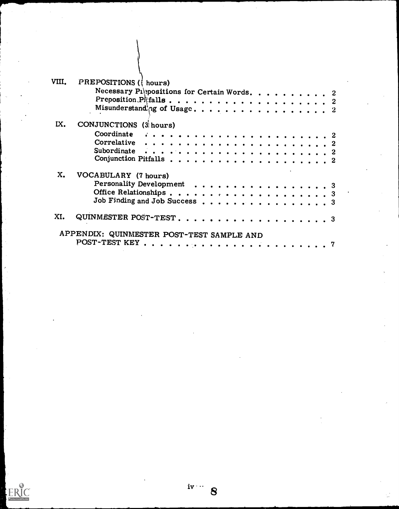| VIII. | PREPOSITIONS ({ hours)                                                |
|-------|-----------------------------------------------------------------------|
|       | Necessary Piltonsitions for Certain Words. 2                          |
|       |                                                                       |
|       |                                                                       |
| IX.   | CONJUNCTIONS (3 hours)                                                |
|       |                                                                       |
|       | Correlative $\ldots \ldots \ldots \ldots \ldots \ldots \ldots \ldots$ |
|       |                                                                       |
|       |                                                                       |
| x.    | VOCABULARY (7 hours)                                                  |
|       | Personality Development 3                                             |
|       |                                                                       |
|       | Job Finding and Job Success 3                                         |
| XI.   |                                                                       |
|       | APPENDIX: QUINMESTER POST-TEST SAMPLE AND                             |
|       |                                                                       |

 $i^{y}$   $\rightarrow$  8

 $\overbrace{\mathop{\mathrm{ERIC}}\limits_{\mathop{\mathsf{PrulletC}}\limits_{\mathop{\mathrm{Frob}}\limits_{\mathop{\mathrm{Cov}}\limits}}}}^{6}$ 

 $\sqrt{2}$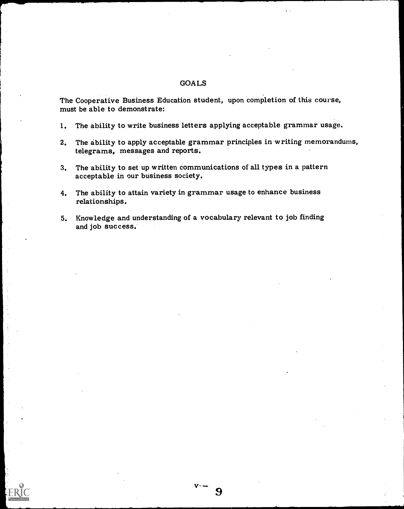#### GOALS

The Cooperative Business Education student, upon completion of this course, must be able to demonstrate:

- 1. The ability to write business letters applying acceptable grammar usage.
- 2. The ability to apply acceptable grammar principles in writing memorandums, telegrams, messages and reports.

9

 $\mathbf{r}$ 

- 3. The ability to set up written communications of all types in a pattern acceptable in our business society.
- 4. The ability to attain variety in grammar usage to enhance business relationships.
- 5. Knowledge and understanding of a vocabulary relevant to job finding and job success.

 $\ddot{\cdot}$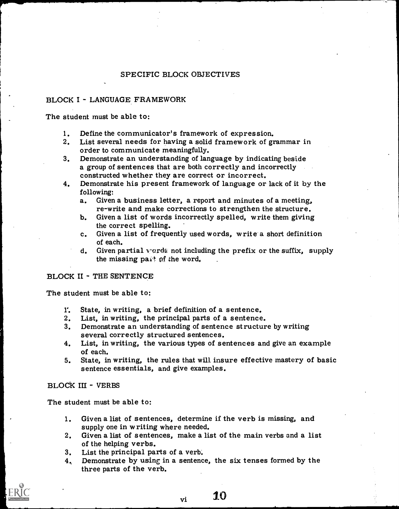#### SPECIFIC BLOCK OBJECTIVES

## BLOCK I - LANGUAGE FRAMEWORK

The student must be able to:

- 1. Define the communicator's framework of expression.
- 2. List several needs for having a solid framework of grammar in order to communicate meaningfully.
- 3. Demonstrate an understanding of language by indicating beside a group of sentences that are both correctly and incorrectly constructed whether they are correct or incorrect.
- 4. Demonstrate his present framework of language or lack of it by the following:
	- a. Given a business letter, a report and minutes of a meeting, re-write and make corrections to strengthen the structure.
	- b. Given a list of words incorrectly spelled, write them giving the correct spelling.
	- c. Given a list of frequently used words, write a short definition of each.
	- d. Given partial words not including the prefix or the suffix, supply the missing pait of the word.

#### BLOCK II - THE SENTENCE

The student must be able to:

- r.State, in writing, a brief definition of a sentence.
- 2. List, in writing, the principal parts of a sentence.
- 3. Demonstrate an understanding of sentence structure by writing
- 4. several correctly structured sentences.<br>List, in writing, the various types of sentences and give an example of each.
- 5. State, in writing, the rules that will insure effective mastery of basic sentence essentials, and give examples.

#### BLOCK III - VERBS

The student must be able to:

- 1. Given a list of sentences, determine if the verb is missing, and supply one in writing where needed.
- 2. Given a list of sentences, make a list of the main verbs and a list of the helping verbs.
- 3. List the principal parts of a verb.
- 4, Demonstrate by using in a sentence, the six tenses formed by the three parts of the verb.

 $_{\rm vi}$  10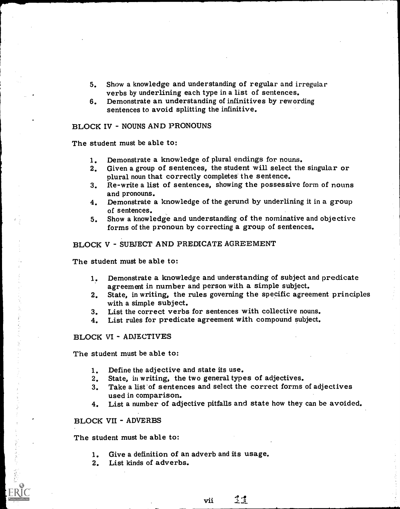- 5. Show a knowledge and understanding of regular and irregular verbs by underlining each type in a list of sentences.
- 6. Demonstrate an understanding of infinitives by rewording sentences to avoid splitting the infinitive.

## BLOCK IV - NOUNS AND PRONOUNS

The student must be able to:

- 1. Demonstrate a knowledge of plural endings for nouns.
- 2. Given a group of sentences, the student will select the singular or plural noun that correctly completes the sentence.
- 3. Re-write a list of sentences, showing the possessive form of nouns and pronouns.
- 4. Demonstrate a knowledge of the gerund by underlining it in a group of sentences.
- 5. Show a knowledge and understanding of the nominative and objective forms of the pronoun by correcting a group of sentences.

#### BLOCK V - SUBJECT AND PREDICATE AGREEMENT

The student must be able to:

- 1. Demonstrate a knowledge and understanding of subject and predicate agreement in number and person with a simple subject.
- 2. State, in writing, the rules governing the specific agreement principles with a simple subject.
- 3. List the correct verbs for sentences with collective nouns.
- 4. List rules for predicate agreement with compound subject.

#### BLOCK VI - ADJECTIVES

The student must be able to:

- 1. Define the adjective and state its use.
- 2. State, in writing, the two general types of adjectives.
- 3. Take a list of sentences and select the correct forms of adjectives used in comparison.
- 4. List a number of adjective pitfalls and state how they can be avoided.

#### BLOCK VII - ADVERBS

The student must be able to:

- 1. Give a definition of an adverb and its usage.
- 2. List kinds of adverbs.

vii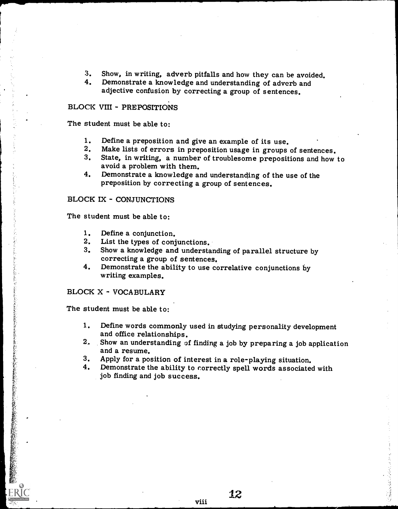- 3. Show, in writing, adverb pitfalls and how they can be avoided.<br>4. Demonstrate a knowledge and understanding of adverband
- Demonstrate a knowledge and understanding of adverb and adjective confusion by correcting a group of sentences.

### BLOCK VIII - PREPOSITIONS

The student must be able to:

- 
- 1. Define a preposition and give an example of its use.<br>2. Make lists of errors in preposition usage in groups of sentences.
- 3. State, in writing, a number of troublesome prepositions and how to avoid a problem with them.
- 4. Demonstrate a knowledge and understanding of the use of the preposition by correcting a group of sentences.

#### BLOCK IX - CONJUNCTIONS

The student must be able to:

- 1. Define a conjunction.<br>2. List the types of conj
- 2. List the types of conjunctions.<br>3. Show a knowledge and understal
- Show a knowledge and understanding of parallel structure by correcting a group of sentences.
- 4. Demonstrate the ability to use correlative conjunctions by writing examples.

#### BLOCK X - VOCABULARY

The student must be able to:

- 1. Define words commonly used in studying personality development<br>and office relationships.<br>2. Show an understanding of finding a job by preparing a job application
- and a resume.
- 

viii

3. Apply for a position of interest in a role-playing situation. 4. Demonstrate the ability to correctly spell words associated with job finding and job success.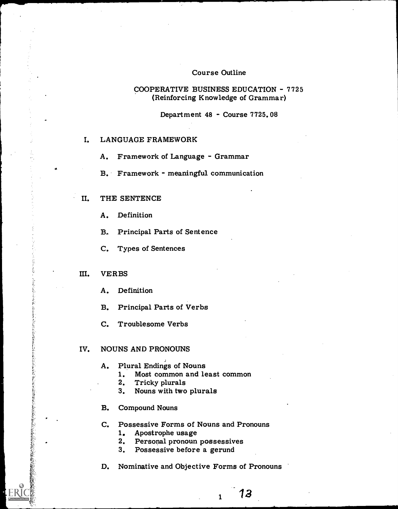#### Course Outline

#### COOPERATIVE BUSINESS EDUCATION - 7725 (Reinforcing Knowledge of Grammar)

Department 48 - Course 7725.08

#### I. LANGUAGE FRAMEWORK

A. Framework of Language - Grammar

B. Framework - meaningful communication

#### II. THE SENTENCE

A. Definition

B. Principal Parts of Sentence

C. Types of Sentences

#### III. VERBS

A. Definition

B. Principal Parts of Verbs

C. Troublesome Verbs

#### IV. NOUNS AND PRONOUNS

#### A. Plural Endings of Nouns

1. Most common and least common

- 2. Tricky plurals
- 3. Nouns with two plurals
- B. Compound Nouns

C. Possessive Forms of Nouns and Pronouns

1. Apostrophe usage

2. Personal pronoun possessives

3. Possessive before a gerund

D. Nominative and Objective Forms of Pronouns

13

 $\mathbf{1}$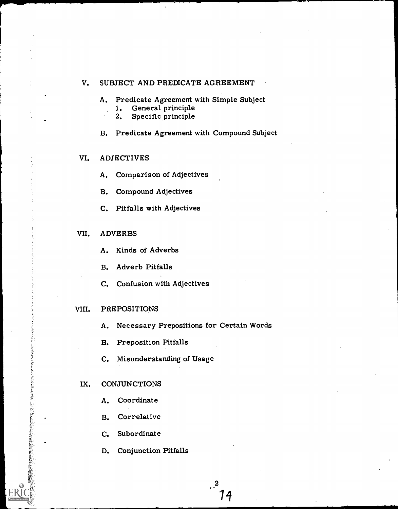#### V. SUBJECT AND PREDICATE AGREEMENT

- A. Predicate Agreement with Simple Subject
	- 1. General principle<br>2. Specific principle
	- Specific principle

#### B. Predicate Agreement with Compound Subject

#### VI. ADJECTIVES

- A. Comparison of Adjectives
- B. Compound Adjectives
- C. Pitfalls with Adjectives

#### VII. ADVERBS

- A. Kinds of Adverbs
- B. Adverb Pitfalls
- C. Confusion with Adjectives

#### VIII. PREPOSITIONS

- A. Necessary Prepositions for Certain Words
- B. Preposition Pitfalls
- C. Misunderstanding of Usage

#### IX. CONJUNCTIONS

このあると、このことには、「このことに、このことには、このことには、「このことには、「このことには、このことには、「このことには、「このことには、「このことには、「このことには、「このことには、「この

- A. Coordinate
- B. Correlative
- C. Subordinate
- D. Conjunction Pitfalls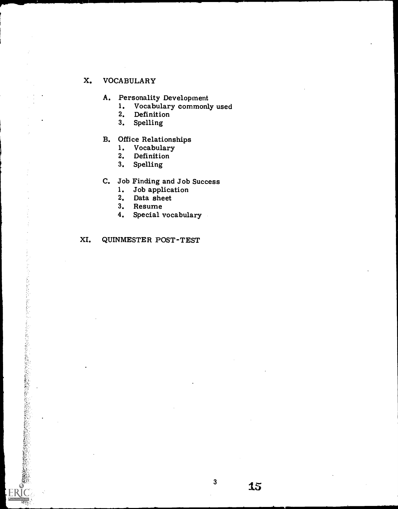## X. VOCABULARY

- A. Personality Development<br>1. Vocabulary commonl
	- 1. Vocabulary commonly used<br>2. Definition
	- 2. Definition<br>3. Spelling
	- **Spelling**

# B. Office Relationships<br>1. Vocabulary

- 1. Vocabulary<br>2. Definition
- 2. Definition<br>3. Spelling
- **Spelling**
- C. Job Finding and Job Success<br>1. Job application
	- 1. Job application<br>2. Data sheet
	- 2. Data sheet<br>3. Resume
	- 3. Resume<br>4. Special
	- Special vocabulary

## XI. QUINMESTER POST-TEST

のことを、このことに、このことを、このことを、このことに、このことに、このことに、このことに、このことに、このことに、このことに、このことに、このことに、このことに、このことに、このことに、このことに、このことに、このことに、このことに、このことに、このことに、このことに、このことに、このことに、このことに、このことに、このことに、このことに、このことに、このことに、このことに、このことに、このことに、このことに、このことに、このことに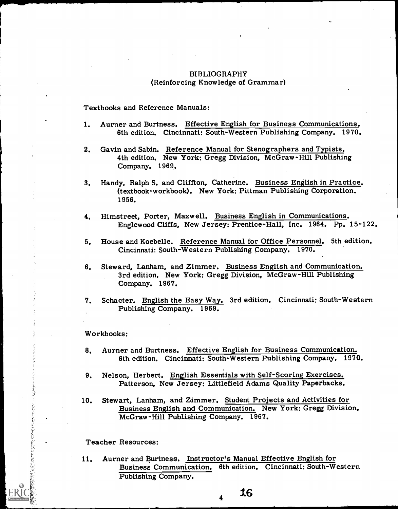#### BIBLIOGRAPHY (Reinforcing Knowledge of Grammar)

Textbooks and Reference Manuals:

- 1. Aurner and Burtness. Effective English for Business Communications. 6th edition. Cincinnati: South-Western Publishing Company. 1970.
- 2. Gavin and Sabin. Reference Manual for Stenographers and Typists. 4th edition. New York: Gregg Division, McGraw-Hill Publishing Company. 1969.
- 3. Handy, Ralph S. and Cliffton, Catherine. Business English in Practice. (textbook-workbook). New York: Pittman Publishing Corporation. 1956.
- 4. Himstreet, Porter, Maxwell. Business English in Communications. Englewood Cliffs, New Jersey: Prentice-Hall, Inc. 1964. Pp. 15-122.
- 5. House and Koebelle. Reference Manual for Office Personnel. 5th edition. Cincinnati: South-Western Publishing Company. 1970.
- 6. Steward, Lanham, and Zimmer. Business English and Communication. 3rd edition. New York: Gregg Division, McGraw-Hill Publishing Company. 1967.
- 7. Schacter. English the Easy Way. 3rd edition. Cincinnati: South-Western Publishing Company. 1969.

#### Workbooks:

- 8. Aurner and Burtness. Effective English for Business Communication. 6th edition. Cincinnati: South-Western Publishing Company. 1970.
- 9. Nelson, Herbert. English Essentials with Self-Scoring Exercises. Patterson, New Jersey: Littlefield Adams Quality Paperbacks.
- 10. Stewart, Lanham, and Zimmer. Student Projects and Activities for Business English and Communication. New York: Gregg Division, McGraw-Hill Publishing Company. 1967.

Teacher Resources:

主となるとのもあるには気がな

11. Aurner and Burtness. Instructor's Manual Effective English for Business Communication. 6th edition. Cincinnati: South-Western Publishing Company.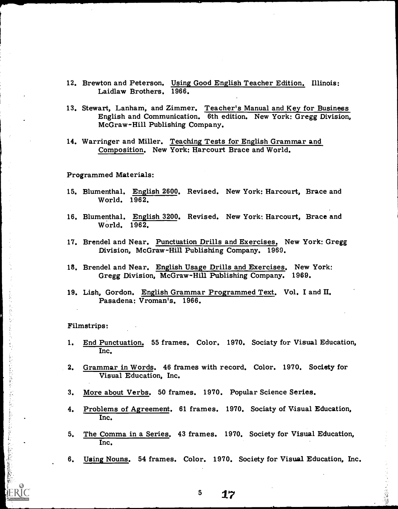- 12. Brewton and Peterson. Using Good English Teacher Edition. Illinois: Laidlaw Brothers. 1966.
- 13. Stewart, Lanham, and Zimmer. Teacher's Manual and Key for Business English and Communication. 6th edition. New York: Gregg Division, McGraw-Hill Publishing Company.
- 14. Warringer and Miller. Teaching Tests for English Grammar and Composition. New York: Harcourt Brace and World.

Programmed Materials:

- 15. Blumenthal. English 2600. Revised. New York: Harcourt, Brace and World. 1962.
- 16. Blumenthal. English 3200. Revised. New York: Harcourt, Brace and World. 1962.
- 17. Brendel and Near. Punctuation Drills and Exercises. New York: Gregg Division, McGraw-Hill Publishing Company. 1969.
- 18. Brendel and Near. English Usage Drills and Exercises. New York: Gregg Division, McGraw-Hill Publishing Company. 1969.
- 19. Lish, Gordon. English Grammar Programmed Text. Vol. I and II. Pasadena: Vroman's, 1966.

Filmstrips:

医乳糜性乳腺肿瘤 医最高的复数

- 1. End Punctuation. 55 frames. Color. 1970. Sociaty for Visual Education, Inc.
- 2. Grammar in Words. 46 frames with record. Color. 1970. Society for Visual Education, Inc.
- 3. More about Verbs. 50 frames. 1970. Popular Science Series.
- 4. Problems of Agreement. 61 frames. 1970. Sociaty of Visual Education, Inc.
- 5. The Comma in a Series. 43 frames. 1970. Society for Visual Education, Inc.
- 6. Using Nouns. 54 frames. Color. 1970. Society for Visual Education, Inc.

 $5 \frac{17}{2}$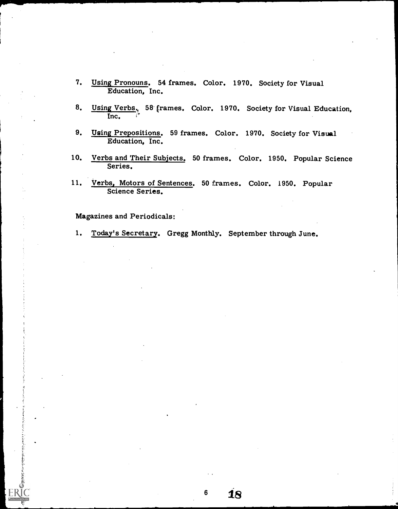- 7. Using Pronouns. 54 frames. Color. 1970. Society for Visual Education, Inc.
- 8. Using Verbs., 58 frames. Color. 1970. Society for Visual Education. Inc.
- 9. Using Prepositions. 59 frames. Color. 1970. Society for Visual Education, Inc.
- 10. Verbs and Their Subjects. 50 frames. Color. 1950. Popular Science Series.
- 11. Verbs, Motors of Sentences. 50 frames. Color. 1950. Popular Science Series.

Magazines and Periodicals:

.11

1. Today's Secretary. Gregg Monthly. September through June.

 $6\phantom{1}6$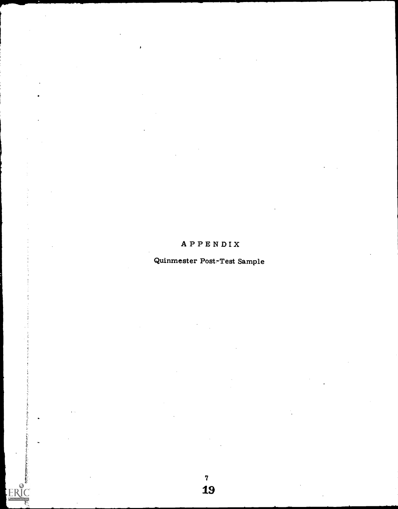## APPENDIX

## Quinmester Post-Test Sample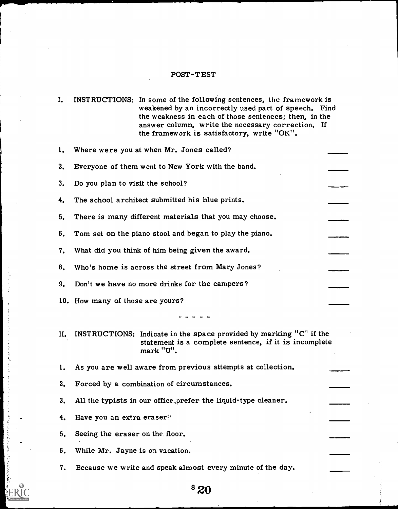## POST-TEST

 $\sim$ 

 $\frac{1}{2}$ 

 $\mathcal{L}$ 

 $\hat{\boldsymbol{\beta}}$  $\ddot{\cdot}$ 

医大脑气候 电空气 计对应表型

| I. |                                  | INSTRUCTIONS: In some of the following sentences, the framework is<br>weakened by an incorrectly used part of speech. Find<br>the weakness in each of those sentences; then, in the<br>answer column, write the necessary correction. If<br>the framework is satisfactory, write "OK". |  |
|----|----------------------------------|----------------------------------------------------------------------------------------------------------------------------------------------------------------------------------------------------------------------------------------------------------------------------------------|--|
| 1. |                                  | Where were you at when Mr. Jones called?                                                                                                                                                                                                                                               |  |
| 2. |                                  | Everyone of them went to New York with the band.                                                                                                                                                                                                                                       |  |
| 3. | Do you plan to visit the school? |                                                                                                                                                                                                                                                                                        |  |
| 4. |                                  | The school architect submitted his blue prints.                                                                                                                                                                                                                                        |  |
| 5. |                                  | There is many different materials that you may choose.                                                                                                                                                                                                                                 |  |
| 6. |                                  | Tom set on the piano stool and began to play the piano.                                                                                                                                                                                                                                |  |
| 7. |                                  | What did you think of him being given the award.                                                                                                                                                                                                                                       |  |
| 8. |                                  | Who's home is across the street from Mary Jones?                                                                                                                                                                                                                                       |  |
| 9. |                                  | Don't we have no more drinks for the campers?                                                                                                                                                                                                                                          |  |
|    | 10. How many of those are yours? |                                                                                                                                                                                                                                                                                        |  |
|    |                                  |                                                                                                                                                                                                                                                                                        |  |
| П. |                                  | INSTRUCTIONS: Indicate in the space provided by marking "C" if the<br>statement is a complete sentence, if it is incomplete<br>mark "U".                                                                                                                                               |  |
| ı. |                                  | As you are well aware from previous attempts at collection.                                                                                                                                                                                                                            |  |
| 2. |                                  | Forced by a combination of circumstances.                                                                                                                                                                                                                                              |  |
| 3. |                                  | All the typists in our office prefer the liquid-type cleaner.                                                                                                                                                                                                                          |  |
| 4. | Have you an extra eraser?        |                                                                                                                                                                                                                                                                                        |  |
| 5. | Seeing the eraser on the floor.  |                                                                                                                                                                                                                                                                                        |  |
| 6. | While Mr. Jayne is on vacation.  |                                                                                                                                                                                                                                                                                        |  |
| 7. |                                  | Because we write and speak almost every minute of the day.                                                                                                                                                                                                                             |  |

# $8\,20$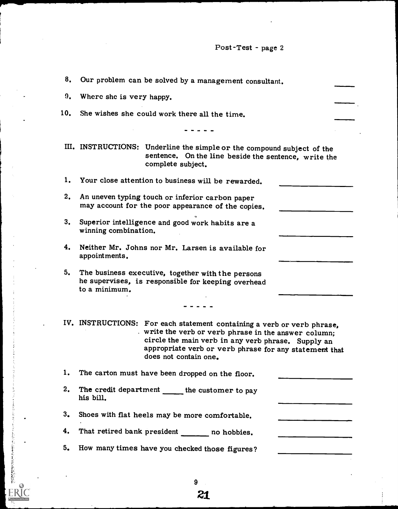Post-Test - page 2

| 8.  | Our problem can be solved by a management consultant.                                                                                                                                                                                                                  |
|-----|------------------------------------------------------------------------------------------------------------------------------------------------------------------------------------------------------------------------------------------------------------------------|
| 9.  | Where she is very happy.                                                                                                                                                                                                                                               |
| 10. | She wishes she could work there all the time.                                                                                                                                                                                                                          |
|     |                                                                                                                                                                                                                                                                        |
|     | III. INSTRUCTIONS: Underline the simple or the compound subject of the<br>sentence. On the line beside the sentence, write the<br>complete subject.                                                                                                                    |
| 1.  | Your close attention to business will be rewarded.                                                                                                                                                                                                                     |
| 2.  | An uneven typing touch or inferior carbon paper<br>may account for the poor appearance of the copies.                                                                                                                                                                  |
| 3.  | Superior intelligence and good work habits are a<br>winning combination.                                                                                                                                                                                               |
| 4.  | Neither Mr. Johns nor Mr. Larsen is available for<br>appointments.                                                                                                                                                                                                     |
| 5.  | The business executive, together with the persons<br>he supervises, is responsible for keeping overhead<br>to a minimum.                                                                                                                                               |
|     |                                                                                                                                                                                                                                                                        |
|     | IV. INSTRUCTIONS: For each statement containing a verb or verb phrase,<br>write the verb or verb phrase in the answer column;<br>circle the main verb in any verb phrase. Supply an<br>appropriate verb or verb phrase for any statement that<br>does not contain one. |
| 1.  | The carton must have been dropped on the floor.                                                                                                                                                                                                                        |
| 2.  | The credit department _____ the customer to pay<br>his bill.                                                                                                                                                                                                           |
| 3.  | Shoes with flat heels may be more comfortable.                                                                                                                                                                                                                         |
| 4.  | That retired bank president ______ no hobbies.                                                                                                                                                                                                                         |
| 5.  | How many times have you checked those figures?                                                                                                                                                                                                                         |
|     |                                                                                                                                                                                                                                                                        |

9

「までのこのことのことのことを見るのか

ERIC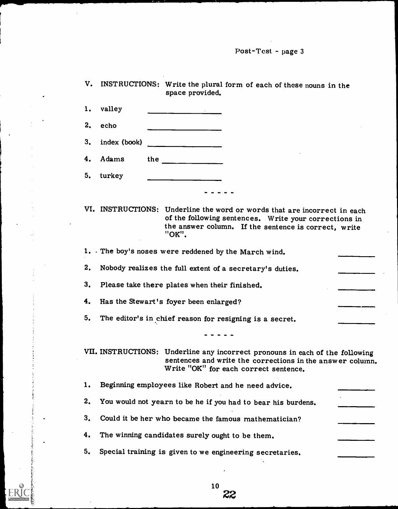Post-Test - page 3

|                      |                                                          | INSTRUCTIONS: Write the plural form of each of these nouns in the<br>space provided.                                                                                                                                           |  |  |
|----------------------|----------------------------------------------------------|--------------------------------------------------------------------------------------------------------------------------------------------------------------------------------------------------------------------------------|--|--|
| 1.                   | valley                                                   |                                                                                                                                                                                                                                |  |  |
| 2.                   | echo                                                     |                                                                                                                                                                                                                                |  |  |
| 3.                   | index (book)                                             | <u> 1989 - John Stone, amerikansk politiker (</u>                                                                                                                                                                              |  |  |
| 4.                   | Adams                                                    | the state of the state of the state of the state of the state of the state of the state of the state of the state of the state of the state of the state of the state of the state of the state of the state of the state of t |  |  |
| 5.                   | turkey                                                   |                                                                                                                                                                                                                                |  |  |
|                      |                                                          |                                                                                                                                                                                                                                |  |  |
|                      |                                                          | VI. INSTRUCTIONS: Underline the word or words that are incorrect in each<br>of the following sentences. Write your corrections in<br>the answer column. If the sentence is correct, write<br>"OK".                             |  |  |
|                      |                                                          | 1. The boy's noses were reddened by the March wind.                                                                                                                                                                            |  |  |
| 2.                   | Nobody realizes the full extent of a secretary's duties. |                                                                                                                                                                                                                                |  |  |
| 3.                   | Please take there plates when their finished.            |                                                                                                                                                                                                                                |  |  |
|                      |                                                          |                                                                                                                                                                                                                                |  |  |
| 4.                   |                                                          | Has the Stewart's foyer been enlarged?                                                                                                                                                                                         |  |  |
| 5.                   |                                                          | The editor's in chief reason for resigning is a secret.                                                                                                                                                                        |  |  |
|                      |                                                          |                                                                                                                                                                                                                                |  |  |
|                      |                                                          | VII. INSTRUCTIONS: Underline any incorrect pronouns in each of the following<br>sentences and write the corrections in the answer column.<br>Write "OK" for each correct sentence.                                             |  |  |
|                      |                                                          | Beginning employees like Robert and he need advice.                                                                                                                                                                            |  |  |
| 1.<br>2 <sub>1</sub> |                                                          | You would not yearn to be he if you had to bear his burdens.                                                                                                                                                                   |  |  |
|                      |                                                          | Could it be her who became the famous mathematician?                                                                                                                                                                           |  |  |
| 3.<br>4.             |                                                          | The winning candidates surely ought to be them.                                                                                                                                                                                |  |  |

ER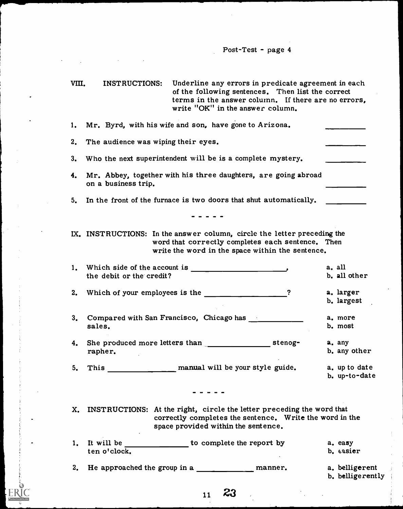VIII. INSTRUCTIONS: Underline any errors in predicate agreement in each of the following sentences. Then list the correct terms in the answer column. If there are no errors, write "OK" in the answer column.

|    | 1. Mr. Byrd, with his wife and son, have gone to Arizona.                                                                                                                                                                                                                                                |                                    |
|----|----------------------------------------------------------------------------------------------------------------------------------------------------------------------------------------------------------------------------------------------------------------------------------------------------------|------------------------------------|
| 2. | The audience was wiping their eyes.                                                                                                                                                                                                                                                                      |                                    |
| 3. | Who the next superintendent will be is a complete mystery.                                                                                                                                                                                                                                               |                                    |
| 4. | Mr. Abbey, together with his three daughters, are going abroad<br>on a business trip.                                                                                                                                                                                                                    |                                    |
| 5. | In the front of the furnace is two doors that shut automatically.                                                                                                                                                                                                                                        |                                    |
|    |                                                                                                                                                                                                                                                                                                          |                                    |
|    | IX. INSTRUCTIONS: In the answer column, circle the letter preceding the<br>word that correctly completes each sentence. Then<br>write the word in the space within the sentence.                                                                                                                         |                                    |
|    |                                                                                                                                                                                                                                                                                                          | a. all                             |
|    | the debit or the credit?                                                                                                                                                                                                                                                                                 | b. all other                       |
| 2. | Which of your employees is the $\frac{1}{2}$ $\frac{1}{2}$ $\frac{1}{2}$ $\frac{1}{2}$ $\frac{1}{2}$ $\frac{1}{2}$ $\frac{1}{2}$ $\frac{1}{2}$ $\frac{1}{2}$ $\frac{1}{2}$ $\frac{1}{2}$ $\frac{1}{2}$ $\frac{1}{2}$ $\frac{1}{2}$ $\frac{1}{2}$ $\frac{1}{2}$ $\frac{1}{2}$ $\frac{1}{2}$ $\frac{1}{2}$ | a. larger<br>b. largest            |
| 3. | Compared with San Francisco, Chicago has<br>sales.                                                                                                                                                                                                                                                       | a. more<br>b. most                 |
| 4. | rapher.                                                                                                                                                                                                                                                                                                  | a. any<br>b. any other             |
| 5. | manual will be your style guide.<br><b>This</b>                                                                                                                                                                                                                                                          | a. up to date<br>b. up-to-date     |
|    |                                                                                                                                                                                                                                                                                                          |                                    |
| X. | INSTRUCTIONS: At the right, circle the letter preceding the word that<br>correctly completes the sentence. Write the word in the<br>space provided within the sentence.                                                                                                                                  |                                    |
| 1. | It will be<br>to complete the report by<br>ten o'clock.                                                                                                                                                                                                                                                  | a. easy<br>b. easier               |
| 2. | He approached the group in a<br>manner.                                                                                                                                                                                                                                                                  | a. belligerent<br>b. belligerently |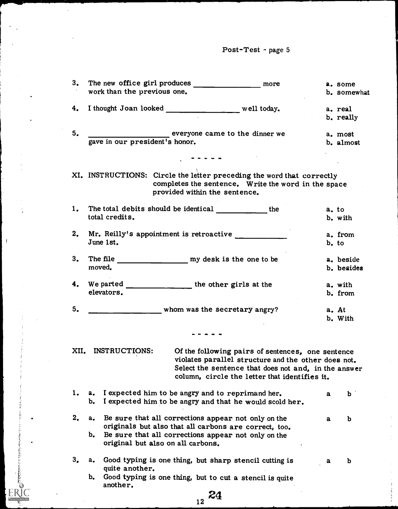| Post-Test - page 5 |  |  |
|--------------------|--|--|
|--------------------|--|--|

 $\ddot{\phantom{a}}$ 

 $\overline{1}$ 

 $\frac{1}{2}$ 

| 3.   | more<br>work than the previous one.                                                                       |   | a. some<br>b. somewhat |  |
|------|-----------------------------------------------------------------------------------------------------------|---|------------------------|--|
|      |                                                                                                           |   |                        |  |
| 4.   | I thought Joan looked ________________ well today.                                                        |   | a. real                |  |
|      |                                                                                                           |   | b. really              |  |
| 5.   |                                                                                                           |   | a. most                |  |
|      | everyone came to the dinner we gave in our president's honor.                                             |   | b. almost              |  |
|      |                                                                                                           |   |                        |  |
|      |                                                                                                           |   |                        |  |
|      | XI. INSTRUCTIONS: Circle the letter preceding the word that correctly                                     |   |                        |  |
|      | completes the sentence. Write the word in the space                                                       |   |                        |  |
|      | provided within the sentence.                                                                             |   |                        |  |
|      |                                                                                                           |   |                        |  |
| 1.   | The total debits should be identical the                                                                  |   | a. to                  |  |
|      | total credits.                                                                                            |   | b. with                |  |
| 2.   | Mr. Reilly's appointment is retroactive                                                                   |   | a. from                |  |
|      | June 1st.                                                                                                 |   | b, to                  |  |
|      |                                                                                                           |   |                        |  |
| 3.   | The file my desk is the one to be                                                                         |   | a. beside              |  |
|      | moved.                                                                                                    |   | b. besides             |  |
| 4.   | We parted ______________________ the other girls at the                                                   |   | a. with                |  |
|      | elevators.                                                                                                |   | b. from                |  |
|      |                                                                                                           |   |                        |  |
| 5.   | whom was the secretary angry?                                                                             |   | a. At                  |  |
|      |                                                                                                           |   | b. With                |  |
|      |                                                                                                           |   |                        |  |
|      |                                                                                                           |   |                        |  |
| XII. | INSTRUCTIONS:<br>Of the following pairs of sentences, one sentence                                        |   |                        |  |
|      | violates parallel structure and the other does not.                                                       |   |                        |  |
|      | Select the sentence that does not and, in the answer                                                      |   |                        |  |
|      | column, circle the letter that identifies it.                                                             |   |                        |  |
| 1.   | I expected him to be angry and to reprimand her.<br>a.                                                    | a | b                      |  |
|      | I expected him to be angry and that he would scold her.<br>b.                                             |   |                        |  |
|      |                                                                                                           |   |                        |  |
| 2.   | Be sure that all corrections appear not only on the<br>$a_{\bullet}$                                      | a | $\mathbf b$            |  |
|      | originals but also that all carbons are correct, too.                                                     |   |                        |  |
|      | $b_{\bullet}$<br>Be sure that all corrections appear not only on the<br>original but also on all carbons. |   |                        |  |
|      |                                                                                                           |   |                        |  |
| 3.   | Good typing is one thing, but sharp stencil cutting is<br>a.                                              | a | $\mathbf b$            |  |
|      | quite another.                                                                                            |   |                        |  |
|      | Good typing is one thing, but to cut a stencil is quite<br>$b_{\bullet}$                                  |   |                        |  |
|      | another,                                                                                                  |   |                        |  |
|      | 24<br>12                                                                                                  |   |                        |  |
|      |                                                                                                           |   |                        |  |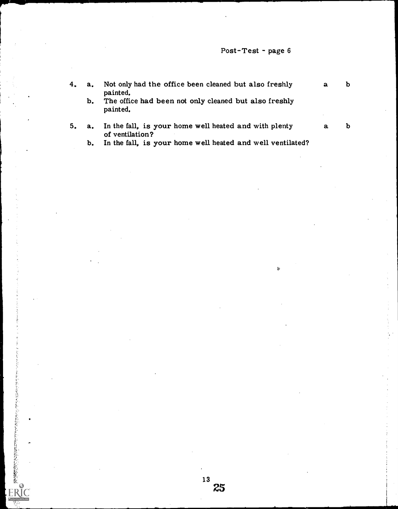## Post-Test - page 6

 $\ddot{\circ}$ 

4. a. Not only had the office been cleaned but also freshly a b painted.

b. The office had been not only cleaned but also freshly painted.

5. a. In the fall, is your home well heated and with plenty a b of ventilation?

b. In the fall, is your home well heated and well ventilated?

**数据的数据的过去式和过去分词 人名英格兰人姓氏克里尔的变体 人名英格兰人姓氏克里尔的变体**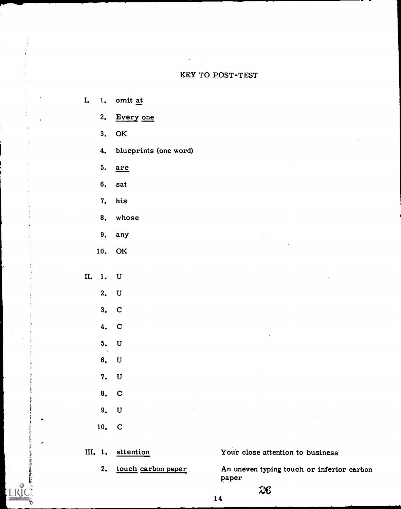#### KEY TO POST-TEST

- I. 1. omit at
	- 2. Every one
	- 3. OK
	- 4. blueprints (one word)

5. are

- 6. sat
- 7. his
- 8. whose
- 9. any
- 10. OK
- II. 1. U
	- 2. U
		- 3. C
		-
		- 4. C
		- 5. U
		- 6. U
		- 7. U
		- 8. C
		- 9. U
		-
		- 10. C

z.

III. 1. attention Your close attention to business

2. touch carbon paper An uneven typing touch or inferior carbon paper

 $z$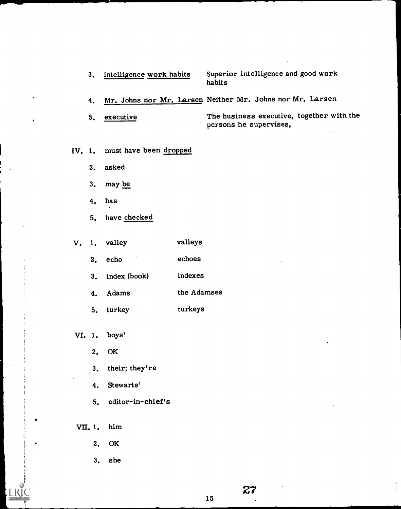3. intelligence work habits Superior intelligence and good work habits

4. Mr. Johns nor Mr. Larsen Neither Mr. Johns nor Mr. Larsen

5. executive The business executive, together with the persons he supervises,

IV. 1. must have been dropped

2. asked

- 3. may be
- 4. has
- 5. have checked

V. 1. valley valleys

- 2. echo echoes
- 3. index (book) indexes
- 4. Adams the Adamses
- 5. turkey turkeys
- VI. 1. boys'
	- 2. OK
	- 3. their; they' re
	- 4. Stewarts'
	- 5. editor-in- chief' s

VII. 1. him

 $\bullet$ 

- 2. OK
- 3. she

27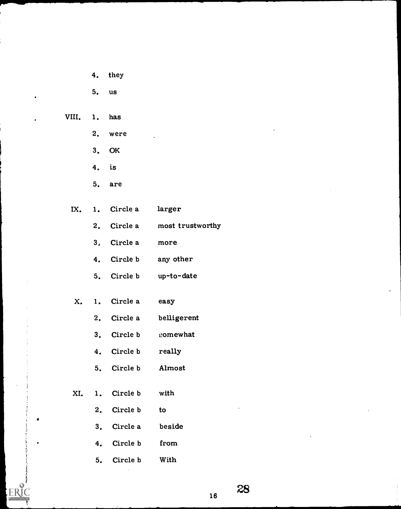- 4. they
- 5. us
- VIII. 1. has
	- 2. were
	- 3. OK
	- 4. is
	- 5. are
	- IX. 1. Circle a larger
		- 2. Circle a most trustworthy
		- 3, Circle a more
		- 4. Circle b any other
		- 5. Circle b up-to-date
	- X. 1. Circle a easy
		- 2. Circle a belligerent
		- 3. Circle b comewhat
		- 4. Circle b really
		- 5. Circle b Almost
	- XI. 1. Circle b with

 $\bullet$ 

- 2. Circle b to
- 3. Circle a beside
- 4. Circle b from
- 5. Circle b With

28